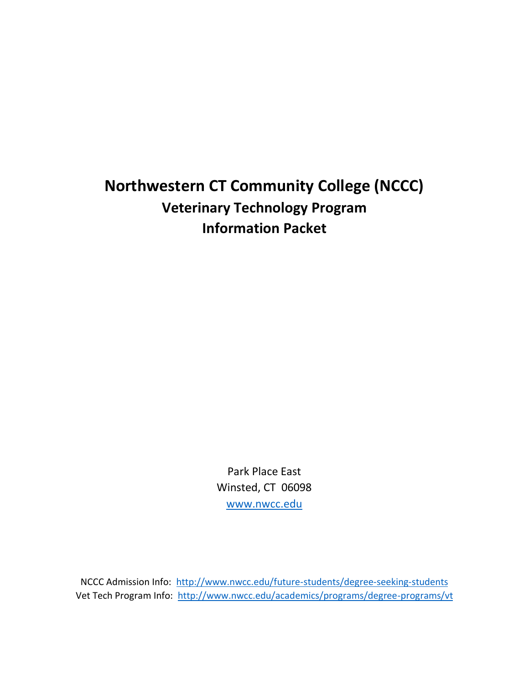# **Northwestern CT Community College (NCCC) Veterinary Technology Program Information Packet**

Park Place East Winsted, CT 06098 [www.nwcc.edu](http://www.nwcc.edu/)

NCCC Admission Info: <http://www.nwcc.edu/future-students/degree-seeking-students> Vet Tech Program Info: <http://www.nwcc.edu/academics/programs/degree-programs/vt>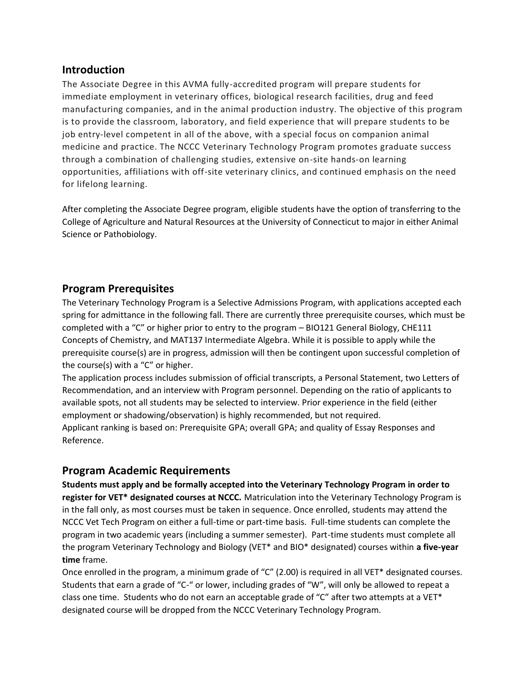#### **Introduction**

The Associate Degree in this AVMA fully-accredited program will prepare students for immediate employment in veterinary offices, biological research facilities, drug and feed manufacturing companies, and in the animal production industry. The objective of this program is to provide the classroom, laboratory, and field experience that will prepare students to be job entry-level competent in all of the above, with a special focus on companion animal medicine and practice. The NCCC Veterinary Technology Program promotes graduate success through a combination of challenging studies, extensive on-site hands-on learning opportunities, affiliations with off-site veterinary clinics, and continued emphasis on the need for lifelong learning.

After completing the Associate Degree program, eligible students have the option of transferring to the College of Agriculture and Natural Resources at the University of Connecticut to major in either Animal Science or Pathobiology.

## **Program Prerequisites**

The Veterinary Technology Program is a Selective Admissions Program, with applications accepted each spring for admittance in the following fall. There are currently three prerequisite courses, which must be completed with a "C" or higher prior to entry to the program – BIO121 General Biology, CHE111 Concepts of Chemistry, and MAT137 Intermediate Algebra. While it is possible to apply while the prerequisite course(s) are in progress, admission will then be contingent upon successful completion of the course(s) with a "C" or higher.

The application process includes submission of official transcripts, a Personal Statement, two Letters of Recommendation, and an interview with Program personnel. Depending on the ratio of applicants to available spots, not all students may be selected to interview. Prior experience in the field (either employment or shadowing/observation) is highly recommended, but not required. Applicant ranking is based on: Prerequisite GPA; overall GPA; and quality of Essay Responses and Reference.

### **Program Academic Requirements**

**Students must apply and be formally accepted into the Veterinary Technology Program in order to register for VET\* designated courses at NCCC.** Matriculation into the Veterinary Technology Program is in the fall only, as most courses must be taken in sequence. Once enrolled, students may attend the NCCC Vet Tech Program on either a full-time or part-time basis. Full-time students can complete the program in two academic years (including a summer semester). Part-time students must complete all the program Veterinary Technology and Biology (VET\* and BIO\* designated) courses within **a five-year time** frame.

Once enrolled in the program, a minimum grade of "C" (2.00) is required in all VET\* designated courses. Students that earn a grade of "C-" or lower, including grades of "W", will only be allowed to repeat a class one time. Students who do not earn an acceptable grade of "C" after two attempts at a VET\* designated course will be dropped from the NCCC Veterinary Technology Program.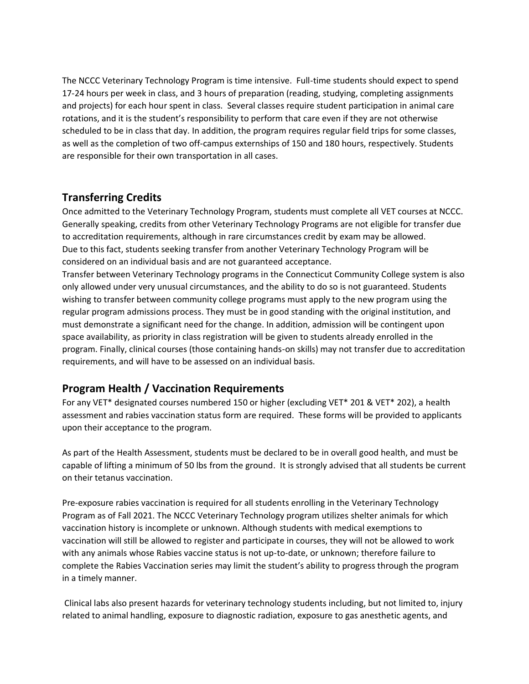The NCCC Veterinary Technology Program is time intensive. Full-time students should expect to spend 17-24 hours per week in class, and 3 hours of preparation (reading, studying, completing assignments and projects) for each hour spent in class. Several classes require student participation in animal care rotations, and it is the student's responsibility to perform that care even if they are not otherwise scheduled to be in class that day. In addition, the program requires regular field trips for some classes, as well as the completion of two off-campus externships of 150 and 180 hours, respectively. Students are responsible for their own transportation in all cases.

### **Transferring Credits**

Once admitted to the Veterinary Technology Program, students must complete all VET courses at NCCC. Generally speaking, credits from other Veterinary Technology Programs are not eligible for transfer due to accreditation requirements, although in rare circumstances credit by exam may be allowed. Due to this fact, students seeking transfer from another Veterinary Technology Program will be considered on an individual basis and are not guaranteed acceptance.

Transfer between Veterinary Technology programs in the Connecticut Community College system is also only allowed under very unusual circumstances, and the ability to do so is not guaranteed. Students wishing to transfer between community college programs must apply to the new program using the regular program admissions process. They must be in good standing with the original institution, and must demonstrate a significant need for the change. In addition, admission will be contingent upon space availability, as priority in class registration will be given to students already enrolled in the program. Finally, clinical courses (those containing hands-on skills) may not transfer due to accreditation requirements, and will have to be assessed on an individual basis.

## **Program Health / Vaccination Requirements**

For any VET\* designated courses numbered 150 or higher (excluding VET\* 201 & VET\* 202), a health assessment and rabies vaccination status form are required. These forms will be provided to applicants upon their acceptance to the program.

As part of the Health Assessment, students must be declared to be in overall good health, and must be capable of lifting a minimum of 50 lbs from the ground. It is strongly advised that all students be current on their tetanus vaccination.

Pre-exposure rabies vaccination is required for all students enrolling in the Veterinary Technology Program as of Fall 2021. The NCCC Veterinary Technology program utilizes shelter animals for which vaccination history is incomplete or unknown. Although students with medical exemptions to vaccination will still be allowed to register and participate in courses, they will not be allowed to work with any animals whose Rabies vaccine status is not up-to-date, or unknown; therefore failure to complete the Rabies Vaccination series may limit the student's ability to progress through the program in a timely manner.

Clinical labs also present hazards for veterinary technology students including, but not limited to, injury related to animal handling, exposure to diagnostic radiation, exposure to gas anesthetic agents, and